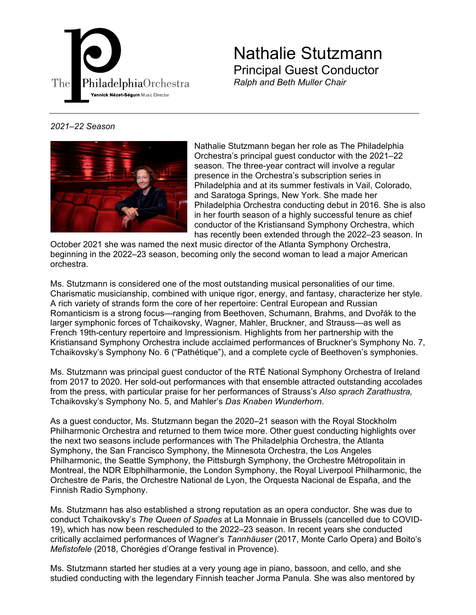

## Nathalie Stutzmann Principal Guest Conductor *Ralph and Beth Muller Chair*

## *2021–22 Season*



Nathalie Stutzmann began her role as The Philadelphia Orchestra's principal guest conductor with the 2021–22 season. The three-year contract will involve a regular presence in the Orchestra's subscription series in Philadelphia and at its summer festivals in Vail, Colorado, and Saratoga Springs, New York. She made her Philadelphia Orchestra conducting debut in 2016. She is also in her fourth season of a highly successful tenure as chief conductor of the Kristiansand Symphony Orchestra, which has recently been extended through the 2022–23 season. In

October 2021 she was named the next music director of the Atlanta Symphony Orchestra, beginning in the 2022–23 season, becoming only the second woman to lead a major American orchestra.

Ms. Stutzmann is considered one of the most outstanding musical personalities of our time. Charismatic musicianship, combined with unique rigor, energy, and fantasy, characterize her style. A rich variety of strands form the core of her repertoire: Central European and Russian Romanticism is a strong focus—ranging from Beethoven, Schumann, Brahms, and Dvořák to the larger symphonic forces of Tchaikovsky, Wagner, Mahler, Bruckner, and Strauss—as well as French 19th-century repertoire and Impressionism. Highlights from her partnership with the Kristiansand Symphony Orchestra include acclaimed performances of Bruckner's Symphony No. 7, Tchaikovsky's Symphony No. 6 ("Pathétique"), and a complete cycle of Beethoven's symphonies.

Ms. Stutzmann was principal guest conductor of the RTÉ National Symphony Orchestra of Ireland from 2017 to 2020. Her sold-out performances with that ensemble attracted outstanding accolades from the press, with particular praise for her performances of Strauss's *Also sprach Zarathustra,* Tchaikovsky's Symphony No. 5, and Mahler's *Das Knaben Wunderhorn*.

As a guest conductor, Ms. Stutzmann began the 2020–21 season with the Royal Stockholm Philharmonic Orchestra and returned to them twice more. Other guest conducting highlights over the next two seasons include performances with The Philadelphia Orchestra, the Atlanta Symphony, the San Francisco Symphony, the Minnesota Orchestra, the Los Angeles Philharmonic, the Seattle Symphony, the Pittsburgh Symphony, the Orchestre Métropolitain in Montreal, the NDR Elbphilharmonie, the London Symphony, the Royal Liverpool Philharmonic, the Orchestre de Paris, the Orchestre National de Lyon, the Orquesta Nacional de España, and the Finnish Radio Symphony.

Ms. Stutzmann has also established a strong reputation as an opera conductor. She was due to conduct Tchaikovsky's *The Queen of Spades* at La Monnaie in Brussels (cancelled due to COVID-19), which has now been rescheduled to the 2022–23 season. In recent years she conducted critically acclaimed performances of Wagner's *Tannhäuser* (2017, Monte Carlo Opera) and Boito's *Mefistofele* (2018, Chorégies d'Orange festival in Provence).

Ms. Stutzmann started her studies at a very young age in piano, bassoon, and cello, and she studied conducting with the legendary Finnish teacher Jorma Panula. She was also mentored by